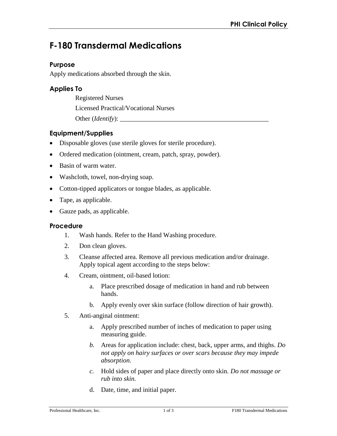# **F-180 Transdermal Medications**

#### **Purpose**

Apply medications absorbed through the skin.

## **Applies To**

Registered Nurses

Licensed Practical/Vocational Nurses

Other (*Identify*):

## **Equipment/Supplies**

- Disposable gloves (use sterile gloves for sterile procedure).
- Ordered medication (ointment, cream, patch, spray, powder).
- Basin of warm water.
- Washcloth, towel, non-drying soap.
- Cotton-tipped applicators or tongue blades, as applicable.
- Tape, as applicable.
- Gauze pads, as applicable.

#### **Procedure**

- 1. Wash hands. Refer to the Hand Washing procedure.
- 2. Don clean gloves.
- 3. Cleanse affected area. Remove all previous medication and/or drainage. Apply topical agent according to the steps below:
- 4. Cream, ointment, oil-based lotion:
	- a. Place prescribed dosage of medication in hand and rub between hands.
	- b. Apply evenly over skin surface (follow direction of hair growth).
- 5. Anti-anginal ointment:
	- a. Apply prescribed number of inches of medication to paper using measuring guide.
	- *b.* Areas for application include: chest, back, upper arms, and thighs. *Do not apply on hairy surfaces or over scars because they may impede absorption.*
	- *c.* Hold sides of paper and place directly onto skin. *Do not massage or rub into skin.*
	- d. Date, time, and initial paper.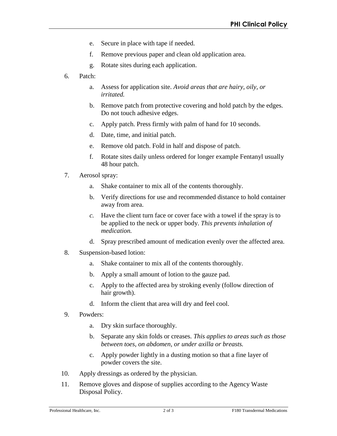- e. Secure in place with tape if needed.
- f. Remove previous paper and clean old application area.
- g. Rotate sites during each application.
- 6. Patch:
	- a. Assess for application site. *Avoid areas that are hairy, oily, or irritated.*
	- b. Remove patch from protective covering and hold patch by the edges. Do not touch adhesive edges.
	- c. Apply patch. Press firmly with palm of hand for 10 seconds.
	- d. Date, time, and initial patch.
	- e. Remove old patch. Fold in half and dispose of patch.
	- f. Rotate sites daily unless ordered for longer example Fentanyl usually 48 hour patch.
- 7. Aerosol spray:
	- a. Shake container to mix all of the contents thoroughly.
	- b. Verify directions for use and recommended distance to hold container away from area.
	- *c.* Have the client turn face or cover face with a towel if the spray is to be applied to the neck or upper body. *This prevents inhalation of medication.*
	- d. Spray prescribed amount of medication evenly over the affected area.
- 8. Suspension-based lotion:
	- a. Shake container to mix all of the contents thoroughly.
	- b. Apply a small amount of lotion to the gauze pad.
	- c. Apply to the affected area by stroking evenly (follow direction of hair growth).
	- d. Inform the client that area will dry and feel cool.
- 9. Powders:
	- a. Dry skin surface thoroughly.
	- b. Separate any skin folds or creases. *This applies to areas such as those between toes, on abdomen, or under axilla or breasts.*
	- c. Apply powder lightly in a dusting motion so that a fine layer of powder covers the site.
- 10. Apply dressings as ordered by the physician.
- 11. Remove gloves and dispose of supplies according to the Agency Waste Disposal Policy.